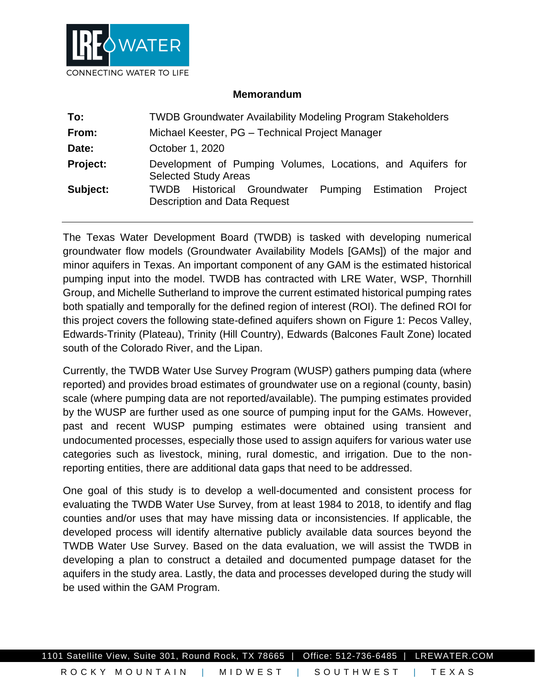

## **Memorandum**

| To:      | <b>TWDB Groundwater Availability Modeling Program Stakeholders</b>                                            |
|----------|---------------------------------------------------------------------------------------------------------------|
| From:    | Michael Keester, PG - Technical Project Manager                                                               |
| Date:    | October 1, 2020                                                                                               |
| Project: | Development of Pumping Volumes, Locations, and Aquifers for<br><b>Selected Study Areas</b>                    |
| Subject: | <b>TWDB</b> Historical Groundwater<br>Pumping<br>Estimation<br>Proiect<br><b>Description and Data Request</b> |

The Texas Water Development Board (TWDB) is tasked with developing numerical groundwater flow models (Groundwater Availability Models [GAMs]) of the major and minor aquifers in Texas. An important component of any GAM is the estimated historical pumping input into the model. TWDB has contracted with LRE Water, WSP, Thornhill Group, and Michelle Sutherland to improve the current estimated historical pumping rates both spatially and temporally for the defined region of interest (ROI). The defined ROI for this project covers the following state-defined aquifers shown on [Figure 1:](#page-1-0) Pecos Valley, Edwards-Trinity (Plateau), Trinity (Hill Country), Edwards (Balcones Fault Zone) located south of the Colorado River, and the Lipan.

Currently, the TWDB Water Use Survey Program (WUSP) gathers pumping data (where reported) and provides broad estimates of groundwater use on a regional (county, basin) scale (where pumping data are not reported/available). The pumping estimates provided by the WUSP are further used as one source of pumping input for the GAMs. However, past and recent WUSP pumping estimates were obtained using transient and undocumented processes, especially those used to assign aquifers for various water use categories such as livestock, mining, rural domestic, and irrigation. Due to the nonreporting entities, there are additional data gaps that need to be addressed.

One goal of this study is to develop a well-documented and consistent process for evaluating the TWDB Water Use Survey, from at least 1984 to 2018, to identify and flag counties and/or uses that may have missing data or inconsistencies. If applicable, the developed process will identify alternative publicly available data sources beyond the TWDB Water Use Survey. Based on the data evaluation, we will assist the TWDB in developing a plan to construct a detailed and documented pumpage dataset for the aquifers in the study area. Lastly, the data and processes developed during the study will be used within the GAM Program.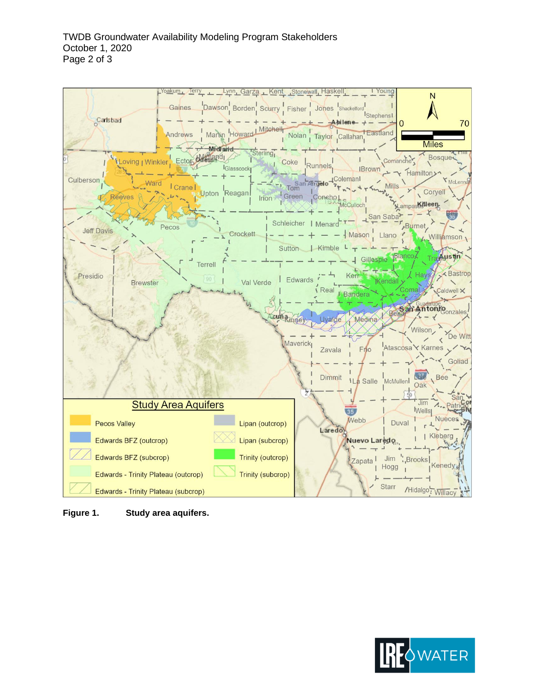

<span id="page-1-0"></span>**Figure 1. Study area aquifers.**